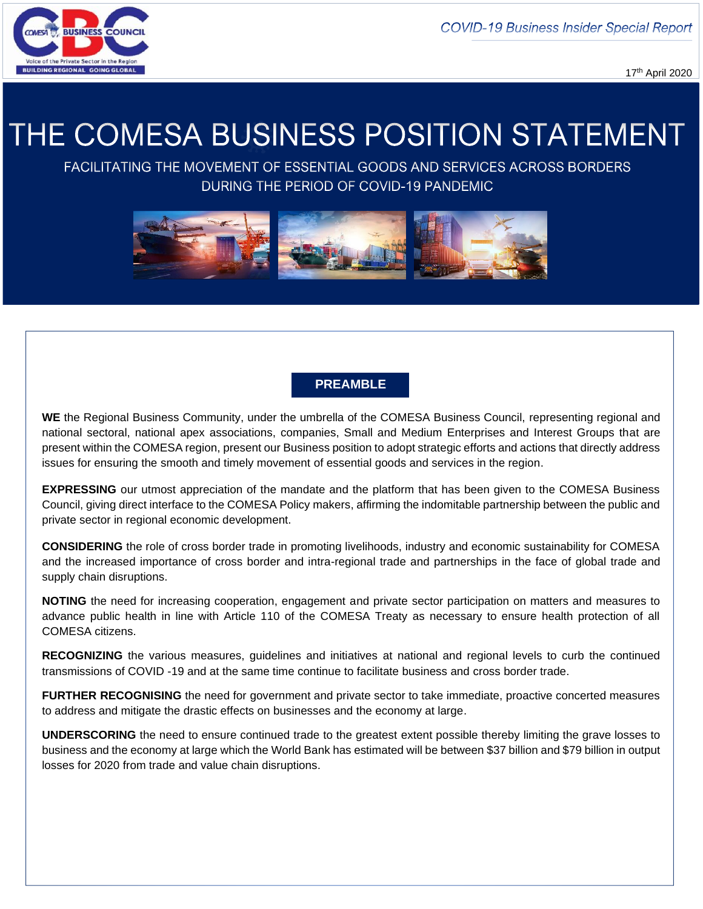**COVID-19 Business Insider Special Report** 



17th April 2020

# THE COMESA BUSINESS POSITION STATEMENT

FACILITATING THE MOVEMENT OF ESSENTIAL GOODS AND SERVICES ACROSS BORDERS DURING THE PERIOD OF COVID-19 PANDEMIC



# **PREAMBLE**

**WE** the Regional Business Community, under the umbrella of the COMESA Business Council, representing regional and national sectoral, national apex associations, companies, Small and Medium Enterprises and Interest Groups that are present within the COMESA region, present our Business position to adopt strategic efforts and actions that directly address issues for ensuring the smooth and timely movement of essential goods and services in the region.

**EXPRESSING** our utmost appreciation of the mandate and the platform that has been given to the COMESA Business Council, giving direct interface to the COMESA Policy makers, affirming the indomitable partnership between the public and private sector in regional economic development.

**CONSIDERING** the role of cross border trade in promoting livelihoods, industry and economic sustainability for COMESA and the increased importance of cross border and intra-regional trade and partnerships in the face of global trade and supply chain disruptions.

**NOTING** the need for increasing cooperation, engagement and private sector participation on matters and measures to advance public health in line with Article 110 of the COMESA Treaty as necessary to ensure health protection of all COMESA citizens.

**RECOGNIZING** the various measures, guidelines and initiatives at national and regional levels to curb the continued transmissions of COVID -19 and at the same time continue to facilitate business and cross border trade.

**FURTHER RECOGNISING** the need for government and private sector to take immediate, proactive concerted measures to address and mitigate the drastic effects on businesses and the economy at large.

**UNDERSCORING** the need to ensure continued trade to the greatest extent possible thereby limiting the grave losses to business and the economy at large which the World Bank has estimated will be between \$37 billion and \$79 billion in output losses for 2020 from trade and value chain disruptions.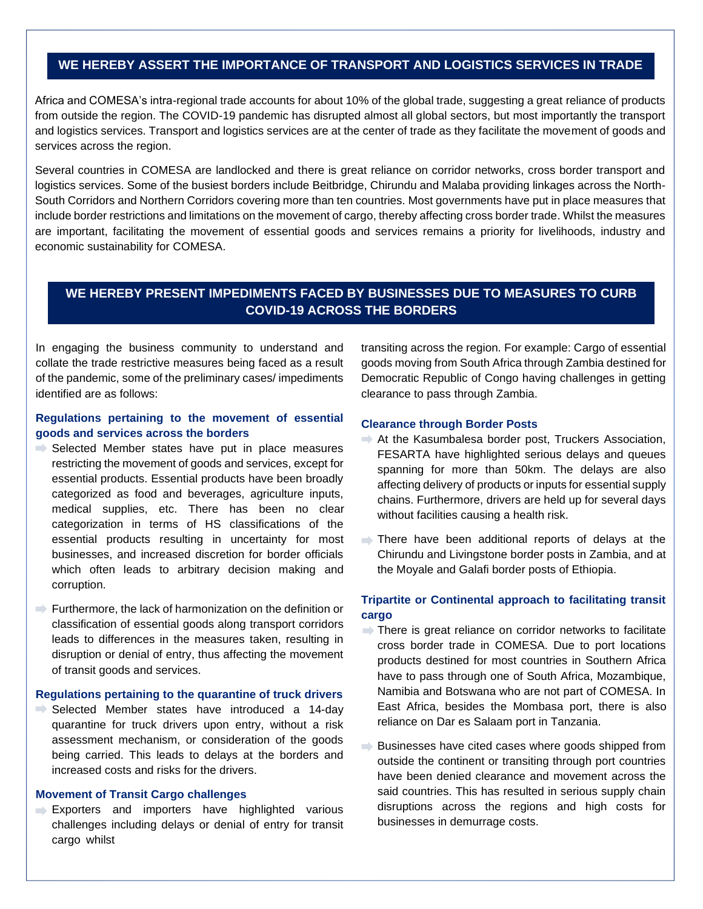# **WE HEREBY ASSERT THE IMPORTANCE OF TRANSPORT AND LOGISTICS SERVICES IN TRADE**

Africa and COMESA's intra-regional trade accounts for about 10% of the global trade, suggesting a great reliance of products from outside the region. The COVID-19 pandemic has disrupted almost all global sectors, but most importantly the transport and logistics services. Transport and logistics services are at the center of trade as they facilitate the movement of goods and services across the region.

Several countries in COMESA are landlocked and there is great reliance on corridor networks, cross border transport and logistics services. Some of the busiest borders include Beitbridge, Chirundu and Malaba providing linkages across the North-South Corridors and Northern Corridors covering more than ten countries. Most governments have put in place measures that include border restrictions and limitations on the movement of cargo, thereby affecting cross border trade. Whilst the measures are important, facilitating the movement of essential goods and services remains a priority for livelihoods, industry and economic sustainability for COMESA.

# **WE HEREBY PRESENT IMPEDIMENTS FACED BY BUSINESSES DUE TO MEASURES TO CURB COVID-19 ACROSS THE BORDERS**

In engaging the business community to understand and collate the trade restrictive measures being faced as a result of the pandemic, some of the preliminary cases/ impediments identified are as follows:

# **Regulations pertaining to the movement of essential goods and services across the borders**

- $\Rightarrow$  Selected Member states have put in place measures restricting the movement of goods and services, except for essential products. Essential products have been broadly categorized as food and beverages, agriculture inputs, medical supplies, etc. There has been no clear categorization in terms of HS classifications of the essential products resulting in uncertainty for most businesses, and increased discretion for border officials which often leads to arbitrary decision making and corruption.
- $\rightarrow$  Furthermore, the lack of harmonization on the definition or classification of essential goods along transport corridors leads to differences in the measures taken, resulting in disruption or denial of entry, thus affecting the movement of transit goods and services.

#### **Regulations pertaining to the quarantine of truck drivers**

 $\Rightarrow$  Selected Member states have introduced a 14-day quarantine for truck drivers upon entry, without a risk assessment mechanism, or consideration of the goods being carried. This leads to delays at the borders and increased costs and risks for the drivers.

## **Movement of Transit Cargo challenges**

Exporters and importers have highlighted various challenges including delays or denial of entry for transit cargo whilst

transiting across the region. For example: Cargo of essential goods moving from South Africa through Zambia destined for Democratic Republic of Congo having challenges in getting clearance to pass through Zambia.

#### **Clearance through Border Posts**

- At the Kasumbalesa border post, Truckers Association, FESARTA have highlighted serious delays and queues spanning for more than 50km. The delays are also affecting delivery of products or inputs for essential supply chains. Furthermore, drivers are held up for several days without facilities causing a health risk.
- There have been additional reports of delays at the Chirundu and Livingstone border posts in Zambia, and at the Moyale and Galafi border posts of Ethiopia.

# **Tripartite or Continental approach to facilitating transit cargo**

- $\Rightarrow$  There is great reliance on corridor networks to facilitate cross border trade in COMESA. Due to port locations products destined for most countries in Southern Africa have to pass through one of South Africa, Mozambique, Namibia and Botswana who are not part of COMESA. In East Africa, besides the Mombasa port, there is also reliance on Dar es Salaam port in Tanzania.
- $\Rightarrow$  Businesses have cited cases where goods shipped from outside the continent or transiting through port countries have been denied clearance and movement across the said countries. This has resulted in serious supply chain disruptions across the regions and high costs for businesses in demurrage costs.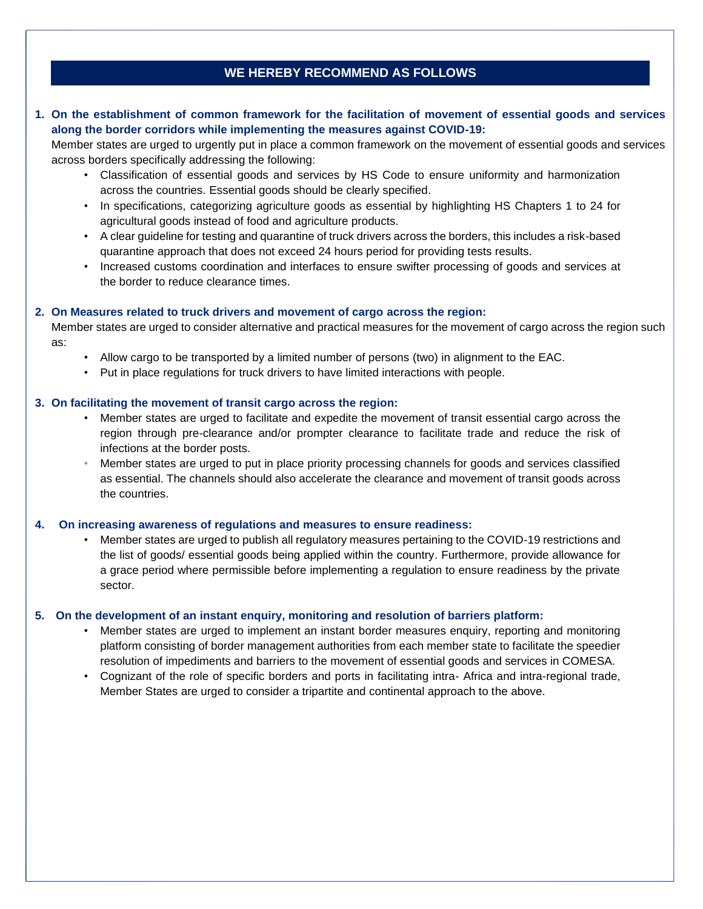# **WE HEREBY RECOMMEND AS FOLLOWS**

# **1. On the establishment of common framework for the facilitation of movement of essential goods and services along the border corridors while implementing the measures against COVID-19:**

Member states are urged to urgently put in place a common framework on the movement of essential goods and services across borders specifically addressing the following:

- Classification of essential goods and services by HS Code to ensure uniformity and harmonization across the countries. Essential goods should be clearly specified.
- In specifications, categorizing agriculture goods as essential by highlighting HS Chapters 1 to 24 for agricultural goods instead of food and agriculture products.
- A clear guideline for testing and quarantine of truck drivers across the borders, this includes a risk-based quarantine approach that does not exceed 24 hours period for providing tests results.
- Increased customs coordination and interfaces to ensure swifter processing of goods and services at the border to reduce clearance times.

#### **2. On Measures related to truck drivers and movement of cargo across the region:**

Member states are urged to consider alternative and practical measures for the movement of cargo across the region such as:

- Allow cargo to be transported by a limited number of persons (two) in alignment to the EAC.
- Put in place regulations for truck drivers to have limited interactions with people.

#### **3. On facilitating the movement of transit cargo across the region:**

- Member states are urged to facilitate and expedite the movement of transit essential cargo across the region through pre-clearance and/or prompter clearance to facilitate trade and reduce the risk of infections at the border posts.
- Member states are urged to put in place priority processing channels for goods and services classified as essential. The channels should also accelerate the clearance and movement of transit goods across the countries.

#### **4. On increasing awareness of regulations and measures to ensure readiness:**

• Member states are urged to publish all regulatory measures pertaining to the COVID-19 restrictions and the list of goods/ essential goods being applied within the country. Furthermore, provide allowance for a grace period where permissible before implementing a regulation to ensure readiness by the private sector.

#### **5. On the development of an instant enquiry, monitoring and resolution of barriers platform:**

- Member states are urged to implement an instant border measures enquiry, reporting and monitoring platform consisting of border management authorities from each member state to facilitate the speedier resolution of impediments and barriers to the movement of essential goods and services in COMESA.
- Cognizant of the role of specific borders and ports in facilitating intra- Africa and intra-regional trade, Member States are urged to consider a tripartite and continental approach to the above.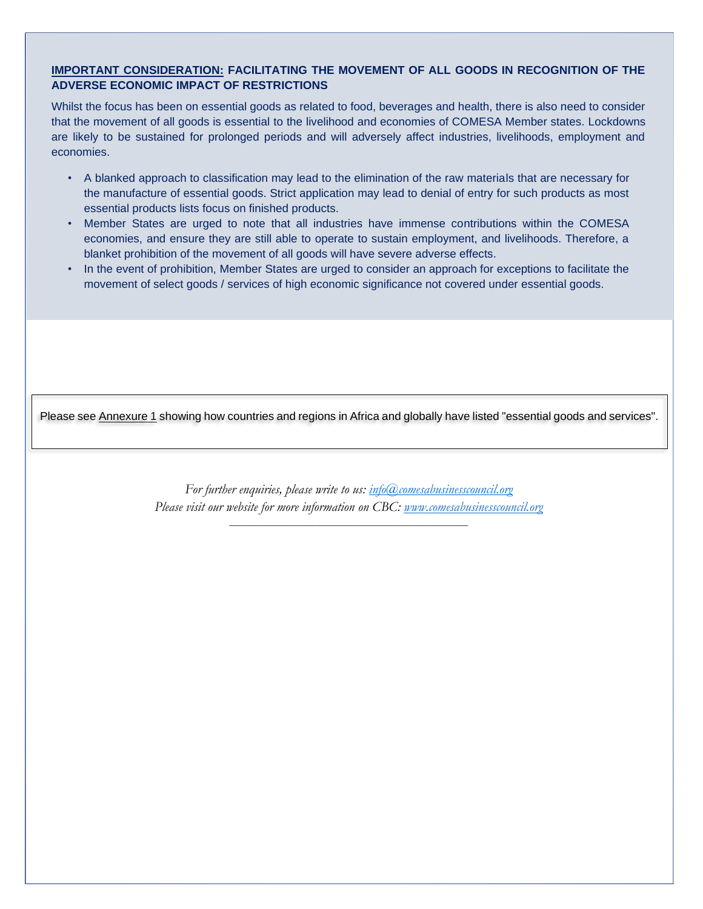# **IMPORTANT CONSIDERATION: FACILITATING THE MOVEMENT OF ALL GOODS IN RECOGNITION OF THE ADVERSE ECONOMIC IMPACT OF RESTRICTIONS**

Whilst the focus has been on essential goods as related to food, beverages and health, there is also need to consider that the movement of all goods is essential to the livelihood and economies of COMESA Member states. Lockdowns are likely to be sustained for prolonged periods and will adversely affect industries, livelihoods, employment and economies.

- A blanked approach to classification may lead to the elimination of the raw materials that are necessary for the manufacture of essential goods. Strict application may lead to denial of entry for such products as most essential products lists focus on finished products.
- Member States are urged to note that all industries have immense contributions within the COMESA economies, and ensure they are still able to operate to sustain employment, and livelihoods. Therefore, a blanket prohibition of the movement of all goods will have severe adverse effects.
- In the event of prohibition, Member States are urged to consider an approach for exceptions to facilitate the movement of select goods / services of high economic significance not covered under essential goods.

Please see **Annexure 1** showing how countries and regions in Africa and globally have listed "essential goods and services".

*For further enquiries, please write to us: [info@comesabusinesscouncil.org](mailto:info@comesabusinesscouncil.org) Please visit our website for more information on CBC: [www.comesabusinesscouncil.org](http://www.comesabusinesscouncil.org/)*

*\_\_\_\_\_\_\_\_\_\_\_\_\_\_\_\_\_\_\_\_\_\_\_\_\_\_\_\_\_\_\_\_\_\_\_\_\_\_\_\_\_\_\_\_\_\_\_\_\_\_\_\_*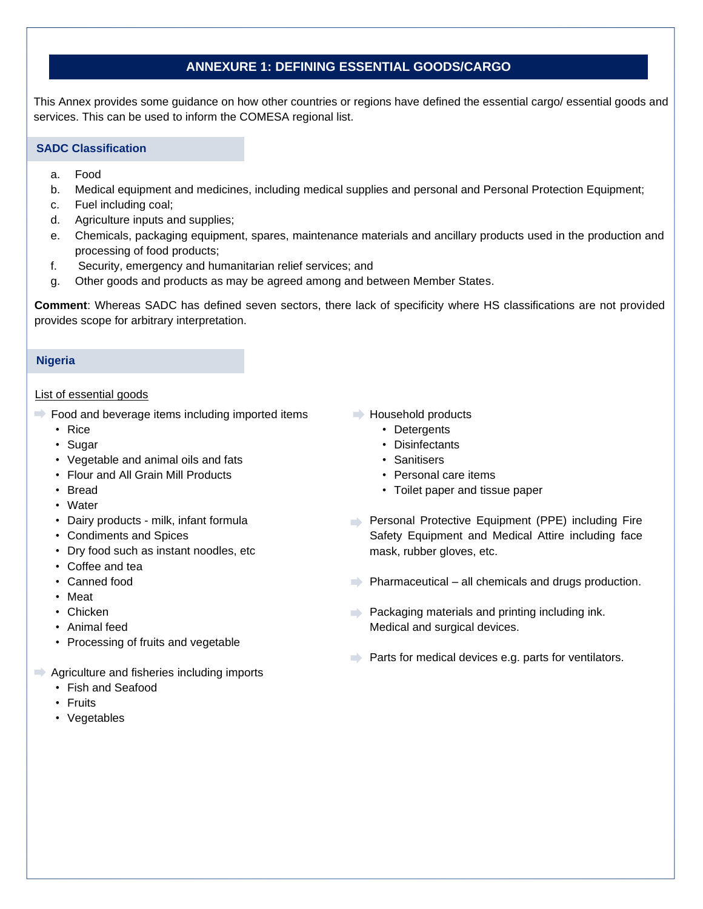# **ANNEXURE 1: DEFINING ESSENTIAL GOODS/CARGO**

This Annex provides some guidance on how other countries or regions have defined the essential cargo/ essential goods and services. This can be used to inform the COMESA regional list.

## **SADC Classification**

- a. Food
- b. Medical equipment and medicines, including medical supplies and personal and Personal Protection Equipment;
- c. Fuel including coal;
- d. Agriculture inputs and supplies;
- e. Chemicals, packaging equipment, spares, maintenance materials and ancillary products used in the production and processing of food products;
- f. Security, emergency and humanitarian relief services; and
- g. Other goods and products as may be agreed among and between Member States.

**Comment**: Whereas SADC has defined seven sectors, there lack of specificity where HS classifications are not provided provides scope for arbitrary interpretation.

#### **Nigeria**

## List of essential goods

- $\Rightarrow$  Food and beverage items including imported items
	- Rice
	- Sugar
	- Vegetable and animal oils and fats
	- Flour and All Grain Mill Products
	- Bread
	- Water
	- Dairy products milk, infant formula
	- Condiments and Spices
	- Dry food such as instant noodles, etc
	- Coffee and tea
	- Canned food
	- Meat
	- Chicken
	- Animal feed
	- Processing of fruits and vegetable
- $\Rightarrow$  Agriculture and fisheries including imports
	- Fish and Seafood
	- Fruits
	- Vegetables
- $\rightarrow$  Household products
	- Detergents
	- Disinfectants
	- Sanitisers
	- Personal care items
	- Toilet paper and tissue paper
- **Personal Protective Equipment (PPE) including Fire** Safety Equipment and Medical Attire including face mask, rubber gloves, etc.
- $\Rightarrow$  Pharmaceutical all chemicals and drugs production.
- **Packaging materials and printing including ink.** Medical and surgical devices.
- $\Rightarrow$  Parts for medical devices e.g. parts for ventilators.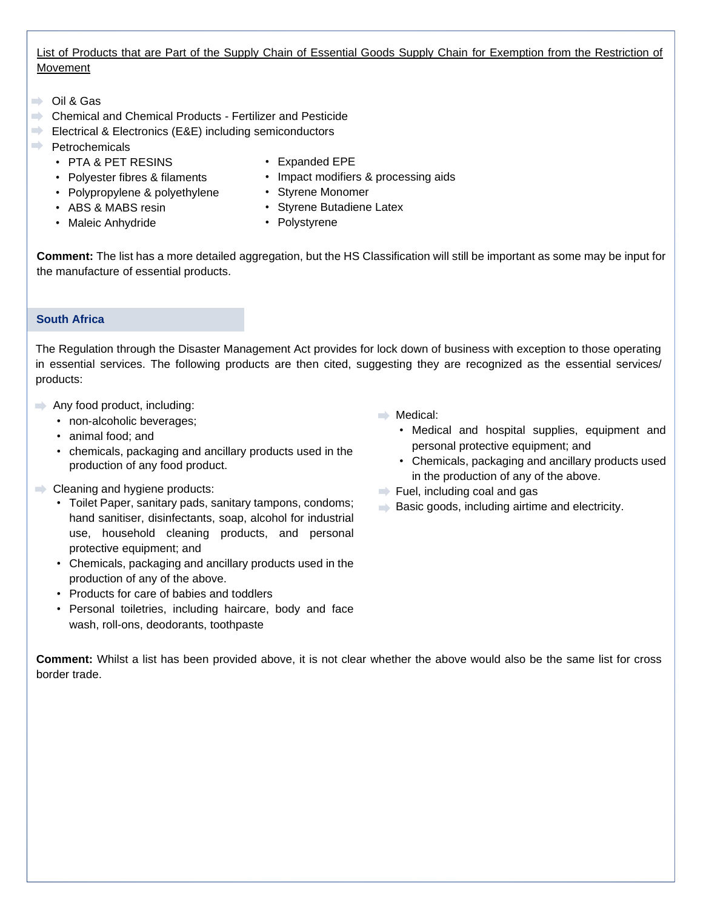# List of Products that are Part of the Supply Chain of Essential Goods Supply Chain for Exemption from the Restriction of Movement

- $\Rightarrow$  Oil & Gas
- **Chemical and Chemical Products Fertilizer and Pesticide**
- Electrical & Electronics (E&E) including semiconductors
- $\rightarrow$  Petrochemicals
	- PTA & PET RESINS
	- Polyester fibres & filaments
	- Polypropylene & polyethylene
	- ABS & MABS resin
	- Maleic Anhydride
- Expanded EPE
- Impact modifiers & processing aids
- Styrene Monomer
- Styrene Butadiene Latex
- Polystyrene

**Comment:** The list has a more detailed aggregation, but the HS Classification will still be important as some may be input for the manufacture of essential products.

# **South Africa**

The Regulation through the Disaster Management Act provides for lock down of business with exception to those operating in essential services. The following products are then cited, suggesting they are recognized as the essential services/ products:

- $\rightarrow$  Any food product, including:
	- non-alcoholic beverages;
	- animal food; and
	- chemicals, packaging and ancillary products used in the production of any food product.
- Cleaning and hygiene products:
	- Toilet Paper, sanitary pads, sanitary tampons, condoms; hand sanitiser, disinfectants, soap, alcohol for industrial use, household cleaning products, and personal protective equipment; and
	- Chemicals, packaging and ancillary products used in the production of any of the above.
	- Products for care of babies and toddlers
	- Personal toiletries, including haircare, body and face wash, roll-ons, deodorants, toothpaste
- $\implies$  Medical:
	- Medical and hospital supplies, equipment and personal protective equipment; and
	- Chemicals, packaging and ancillary products used in the production of any of the above.
- $\blacktriangleright$  Fuel, including coal and gas
- $\Rightarrow$  Basic goods, including airtime and electricity.

**Comment:** Whilst a list has been provided above, it is not clear whether the above would also be the same list for cross border trade.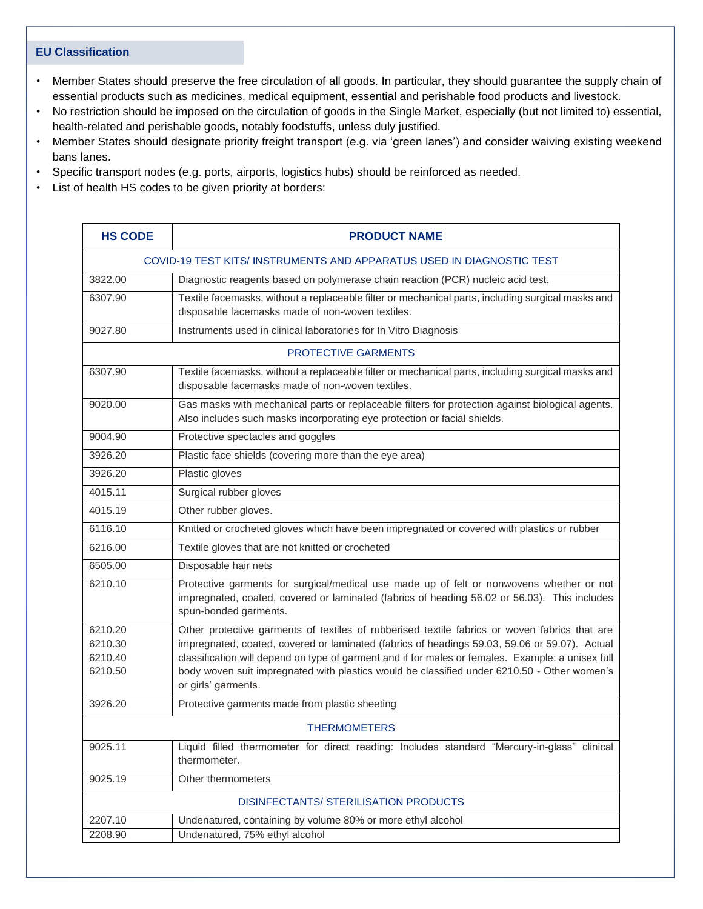## **EU Classification**

- Member States should preserve the free circulation of all goods. In particular, they should guarantee the supply chain of essential products such as medicines, medical equipment, essential and perishable food products and livestock.
- No restriction should be imposed on the circulation of goods in the Single Market, especially (but not limited to) essential, health-related and perishable goods, notably foodstuffs, unless duly justified.
- Member States should designate priority freight transport (e.g. via 'green lanes') and consider waiving existing weekend bans lanes.
- Specific transport nodes (e.g. ports, airports, logistics hubs) should be reinforced as needed.
- List of health HS codes to be given priority at borders:

| <b>HS CODE</b>                                                       | <b>PRODUCT NAME</b>                                                                                                                                                                                                                                                                                                                                                                                                       |  |
|----------------------------------------------------------------------|---------------------------------------------------------------------------------------------------------------------------------------------------------------------------------------------------------------------------------------------------------------------------------------------------------------------------------------------------------------------------------------------------------------------------|--|
| COVID-19 TEST KITS/INSTRUMENTS AND APPARATUS USED IN DIAGNOSTIC TEST |                                                                                                                                                                                                                                                                                                                                                                                                                           |  |
| 3822.00                                                              | Diagnostic reagents based on polymerase chain reaction (PCR) nucleic acid test.                                                                                                                                                                                                                                                                                                                                           |  |
| 6307.90                                                              | Textile facemasks, without a replaceable filter or mechanical parts, including surgical masks and<br>disposable facemasks made of non-woven textiles.                                                                                                                                                                                                                                                                     |  |
| 9027.80                                                              | Instruments used in clinical laboratories for In Vitro Diagnosis                                                                                                                                                                                                                                                                                                                                                          |  |
| <b>PROTECTIVE GARMENTS</b>                                           |                                                                                                                                                                                                                                                                                                                                                                                                                           |  |
| 6307.90                                                              | Textile facemasks, without a replaceable filter or mechanical parts, including surgical masks and<br>disposable facemasks made of non-woven textiles.                                                                                                                                                                                                                                                                     |  |
| 9020.00                                                              | Gas masks with mechanical parts or replaceable filters for protection against biological agents.<br>Also includes such masks incorporating eye protection or facial shields.                                                                                                                                                                                                                                              |  |
| 9004.90                                                              | Protective spectacles and goggles                                                                                                                                                                                                                                                                                                                                                                                         |  |
| 3926.20                                                              | Plastic face shields (covering more than the eye area)                                                                                                                                                                                                                                                                                                                                                                    |  |
| 3926.20                                                              | Plastic gloves                                                                                                                                                                                                                                                                                                                                                                                                            |  |
| 4015.11                                                              | Surgical rubber gloves                                                                                                                                                                                                                                                                                                                                                                                                    |  |
| 4015.19                                                              | Other rubber gloves.                                                                                                                                                                                                                                                                                                                                                                                                      |  |
| 6116.10                                                              | Knitted or crocheted gloves which have been impregnated or covered with plastics or rubber                                                                                                                                                                                                                                                                                                                                |  |
| 6216.00                                                              | Textile gloves that are not knitted or crocheted                                                                                                                                                                                                                                                                                                                                                                          |  |
| 6505.00                                                              | Disposable hair nets                                                                                                                                                                                                                                                                                                                                                                                                      |  |
| 6210.10                                                              | Protective garments for surgical/medical use made up of felt or nonwovens whether or not<br>impregnated, coated, covered or laminated (fabrics of heading 56.02 or 56.03). This includes<br>spun-bonded garments.                                                                                                                                                                                                         |  |
| 6210.20<br>6210.30<br>6210.40<br>6210.50                             | Other protective garments of textiles of rubberised textile fabrics or woven fabrics that are<br>impregnated, coated, covered or laminated (fabrics of headings 59.03, 59.06 or 59.07). Actual<br>classification will depend on type of garment and if for males or females. Example: a unisex full<br>body woven suit impregnated with plastics would be classified under 6210.50 - Other women's<br>or girls' garments. |  |
| 3926.20                                                              | Protective garments made from plastic sheeting                                                                                                                                                                                                                                                                                                                                                                            |  |
| THERMOMETERS                                                         |                                                                                                                                                                                                                                                                                                                                                                                                                           |  |
| 9025.11                                                              | Liquid filled thermometer for direct reading: Includes standard "Mercury-in-glass" clinical<br>thermometer.                                                                                                                                                                                                                                                                                                               |  |
| 9025.19                                                              | Other thermometers                                                                                                                                                                                                                                                                                                                                                                                                        |  |
| DISINFECTANTS/ STERILISATION PRODUCTS                                |                                                                                                                                                                                                                                                                                                                                                                                                                           |  |
| 2207.10                                                              | Undenatured, containing by volume 80% or more ethyl alcohol                                                                                                                                                                                                                                                                                                                                                               |  |
| 2208.90                                                              | Undenatured, 75% ethyl alcohol                                                                                                                                                                                                                                                                                                                                                                                            |  |